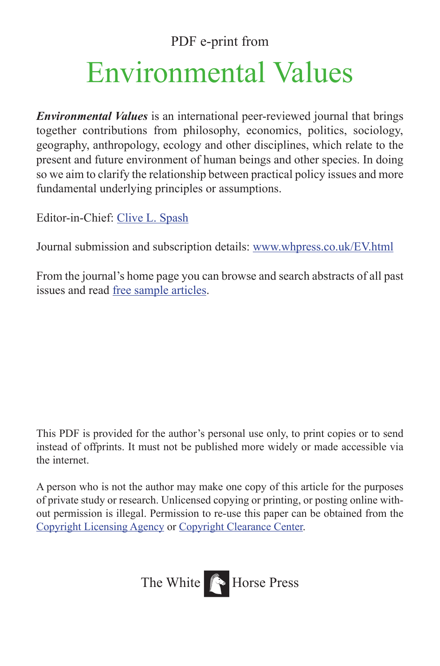PDF e-print from

# Environmental Values

*Environmental Values* is an international peer-reviewed journal that brings together contributions from philosophy, economics, politics, sociology, geography, anthropology, ecology and other disciplines, which relate to the present and future environment of human beings and other species. In doing so we aim to clarify the relationship between practical policy issues and more fundamental underlying principles or assumptions.

Editor-in-Chief: [Clive L. Spash](http://www.clivespash.org)

Journal submission and subscription details: [www.whpress.co.uk/EV.html](http://www.whpress.co.uk/EV.html)

From the journal's home page you can browse and search abstracts of all past issues and read [free sample article](http://www.whpress.co.uk/EV/EVfree.html)s.

This PDF is provided for the author's personal use only, to print copies or to send instead of offprints. It must not be published more widely or made accessible via the internet.

A person who is not the author may make one copy of this article for the purposes of private study or research. Unlicensed copying or printing, or posting online without permission is illegal. Permission to re-use this paper can be obtained from the [Copyright Licensing Agency](http://www.cla.co.uk/) or [Copyright Clearance Cente](http://www.copyright.com/search.do?operation=detail&item=122962365&detailType=basic )r.

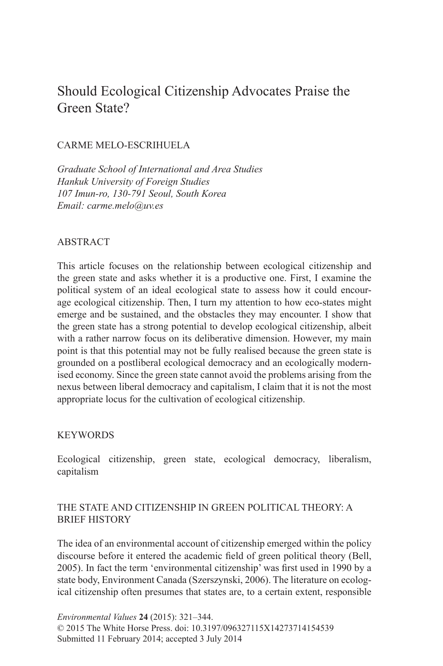# Should Ecological Citizenship Advocates Praise the Green State?

# CARME MELO-ESCRIHUELA

*Graduate School of International and Area Studies Hankuk University of Foreign Studies 107 Imun-ro, 130-791 Seoul, South Korea Email: [carme.melo@uv.es](mailto:carme.melo@uv.es)*

# ABSTRACT

This article focuses on the relationship between ecological citizenship and the green state and asks whether it is a productive one. First, I examine the political system of an ideal ecological state to assess how it could encourage ecological citizenship. Then, I turn my attention to how eco-states might emerge and be sustained, and the obstacles they may encounter. I show that the green state has a strong potential to develop ecological citizenship, albeit with a rather narrow focus on its deliberative dimension. However, my main point is that this potential may not be fully realised because the green state is grounded on a postliberal ecological democracy and an ecologically modernised economy. Since the green state cannot avoid the problems arising from the nexus between liberal democracy and capitalism, I claim that it is not the most appropriate locus for the cultivation of ecological citizenship.

# **KEYWORDS**

Ecological citizenship, green state, ecological democracy, liberalism, capitalism

# THE STATE AND CITIZENSHIP IN GREEN POLITICAL THEORY: A BRIEF HISTORY

The idea of an environmental account of citizenship emerged within the policy discourse before it entered the academic field of green political theory (Bell, 2005). In fact the term 'environmental citizenship' was first used in 1990 by a state body, Environment Canada (Szerszynski, 2006). The literature on ecological citizenship often presumes that states are, to a certain extent, responsible

*Environmental Values* **24** (2015): 321–344. © 2015 The White Horse Press. doi: 10.3197/096327115X14273714154539 Submitted 11 February 2014; accepted 3 July 2014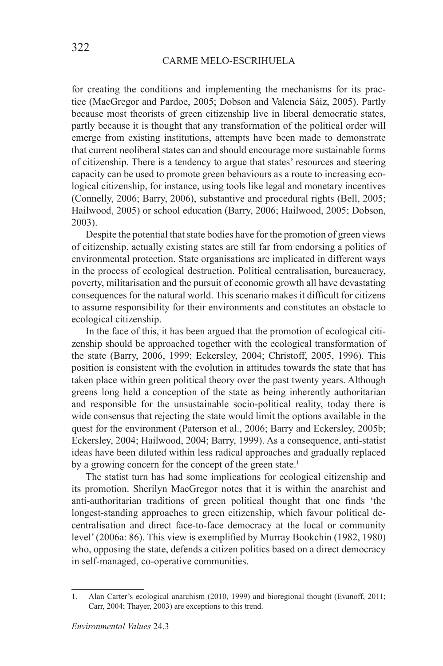for creating the conditions and implementing the mechanisms for its practice (MacGregor and Pardoe, 2005; Dobson and Valencia Sáiz, 2005). Partly because most theorists of green citizenship live in liberal democratic states, partly because it is thought that any transformation of the political order will emerge from existing institutions, attempts have been made to demonstrate that current neoliberal states can and should encourage more sustainable forms of citizenship. There is a tendency to argue that states' resources and steering capacity can be used to promote green behaviours as a route to increasing ecological citizenship, for instance, using tools like legal and monetary incentives (Connelly, 2006; Barry, 2006), substantive and procedural rights (Bell, 2005; Hailwood, 2005) or school education (Barry, 2006; Hailwood, 2005; Dobson, 2003).

Despite the potential that state bodies have for the promotion of green views of citizenship, actually existing states are still far from endorsing a politics of environmental protection. State organisations are implicated in different ways in the process of ecological destruction. Political centralisation, bureaucracy, poverty, militarisation and the pursuit of economic growth all have devastating consequences for the natural world. This scenario makes it difficult for citizens to assume responsibility for their environments and constitutes an obstacle to ecological citizenship.

In the face of this, it has been argued that the promotion of ecological citizenship should be approached together with the ecological transformation of the state (Barry, 2006, 1999; Eckersley, 2004; Christoff, 2005, 1996). This position is consistent with the evolution in attitudes towards the state that has taken place within green political theory over the past twenty years. Although greens long held a conception of the state as being inherently authoritarian and responsible for the unsustainable socio-political reality, today there is wide consensus that rejecting the state would limit the options available in the quest for the environment (Paterson et al., 2006; Barry and Eckersley, 2005b; Eckersley, 2004; Hailwood, 2004; Barry, 1999). As a consequence, anti-statist ideas have been diluted within less radical approaches and gradually replaced by a growing concern for the concept of the green state.<sup>1</sup>

The statist turn has had some implications for ecological citizenship and its promotion. Sherilyn MacGregor notes that it is within the anarchist and anti-authoritarian traditions of green political thought that one finds 'the longest-standing approaches to green citizenship, which favour political decentralisation and direct face-to-face democracy at the local or community level' (2006a: 86). This view is exemplified by Murray Bookchin (1982, 1980) who, opposing the state, defends a citizen politics based on a direct democracy in self-managed, co-operative communities.

<sup>1.</sup> Alan Carter's ecological anarchism (2010, 1999) and bioregional thought (Evanoff, 2011; Carr, 2004; Thayer, 2003) are exceptions to this trend.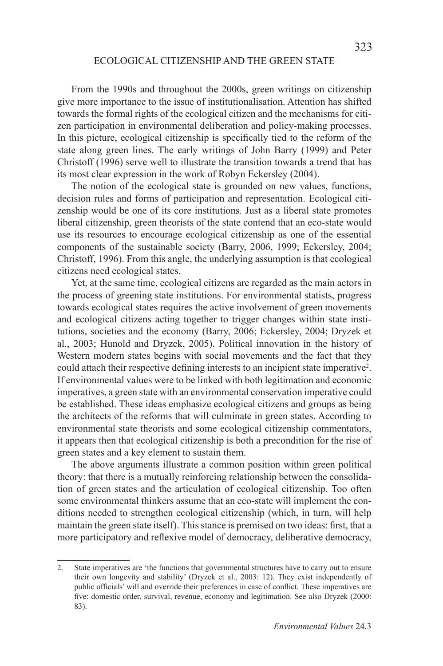From the 1990s and throughout the 2000s, green writings on citizenship give more importance to the issue of institutionalisation. Attention has shifted towards the formal rights of the ecological citizen and the mechanisms for citizen participation in environmental deliberation and policy-making processes. In this picture, ecological citizenship is specifically tied to the reform of the state along green lines. The early writings of John Barry (1999) and Peter Christoff (1996) serve well to illustrate the transition towards a trend that has its most clear expression in the work of Robyn Eckersley (2004).

The notion of the ecological state is grounded on new values, functions, decision rules and forms of participation and representation. Ecological citizenship would be one of its core institutions. Just as a liberal state promotes liberal citizenship, green theorists of the state contend that an eco-state would use its resources to encourage ecological citizenship as one of the essential components of the sustainable society (Barry, 2006, 1999; Eckersley, 2004; Christoff, 1996). From this angle, the underlying assumption is that ecological citizens need ecological states.

Yet, at the same time, ecological citizens are regarded as the main actors in the process of greening state institutions. For environmental statists, progress towards ecological states requires the active involvement of green movements and ecological citizens acting together to trigger changes within state institutions, societies and the economy (Barry, 2006; Eckersley, 2004; Dryzek et al., 2003; Hunold and Dryzek, 2005). Political innovation in the history of Western modern states begins with social movements and the fact that they could attach their respective defining interests to an incipient state imperative<sup>2</sup>. If environmental values were to be linked with both legitimation and economic imperatives, a green state with an environmental conservation imperative could be established. These ideas emphasize ecological citizens and groups as being the architects of the reforms that will culminate in green states. According to environmental state theorists and some ecological citizenship commentators, it appears then that ecological citizenship is both a precondition for the rise of green states and a key element to sustain them.

The above arguments illustrate a common position within green political theory: that there is a mutually reinforcing relationship between the consolidation of green states and the articulation of ecological citizenship. Too often some environmental thinkers assume that an eco-state will implement the conditions needed to strengthen ecological citizenship (which, in turn, will help maintain the green state itself). This stance is premised on two ideas: first, that a more participatory and reflexive model of democracy, deliberative democracy,

<sup>2.</sup> State imperatives are 'the functions that governmental structures have to carry out to ensure their own longevity and stability' (Dryzek et al., 2003: 12). They exist independently of public officials' will and override their preferences in case of conflict. These imperatives are five: domestic order, survival, revenue, economy and legitimation. See also Dryzek (2000: 83).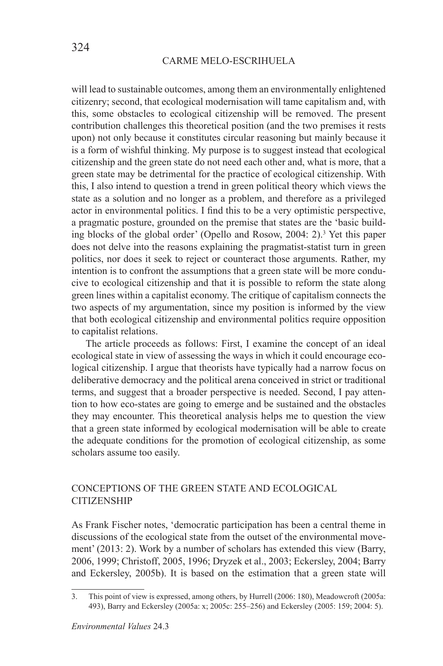will lead to sustainable outcomes, among them an environmentally enlightened citizenry; second, that ecological modernisation will tame capitalism and, with this, some obstacles to ecological citizenship will be removed. The present contribution challenges this theoretical position (and the two premises it rests upon) not only because it constitutes circular reasoning but mainly because it is a form of wishful thinking. My purpose is to suggest instead that ecological citizenship and the green state do not need each other and, what is more, that a green state may be detrimental for the practice of ecological citizenship. With this, I also intend to question a trend in green political theory which views the state as a solution and no longer as a problem, and therefore as a privileged actor in environmental politics. I find this to be a very optimistic perspective, a pragmatic posture, grounded on the premise that states are the 'basic building blocks of the global order' (Opello and Rosow, 2004: 2).<sup>3</sup> Yet this paper does not delve into the reasons explaining the pragmatist-statist turn in green politics, nor does it seek to reject or counteract those arguments. Rather, my intention is to confront the assumptions that a green state will be more conducive to ecological citizenship and that it is possible to reform the state along green lines within a capitalist economy. The critique of capitalism connects the two aspects of my argumentation, since my position is informed by the view that both ecological citizenship and environmental politics require opposition to capitalist relations.

The article proceeds as follows: First, I examine the concept of an ideal ecological state in view of assessing the ways in which it could encourage ecological citizenship. I argue that theorists have typically had a narrow focus on deliberative democracy and the political arena conceived in strict or traditional terms, and suggest that a broader perspective is needed. Second, I pay attention to how eco-states are going to emerge and be sustained and the obstacles they may encounter. This theoretical analysis helps me to question the view that a green state informed by ecological modernisation will be able to create the adequate conditions for the promotion of ecological citizenship, as some scholars assume too easily.

# CONCEPTIONS OF THE GREEN STATE AND ECOLOGICAL CITIZENSHIP

As Frank Fischer notes, 'democratic participation has been a central theme in discussions of the ecological state from the outset of the environmental movement' (2013: 2). Work by a number of scholars has extended this view (Barry, 2006, 1999; Christoff, 2005, 1996; Dryzek et al., 2003; Eckersley, 2004; Barry and Eckersley, 2005b). It is based on the estimation that a green state will

<sup>3.</sup> This point of view is expressed, among others, by Hurrell (2006: 180), Meadowcroft (2005a: 493), Barry and Eckersley (2005a: x; 2005c: 255–256) and Eckersley (2005: 159; 2004: 5).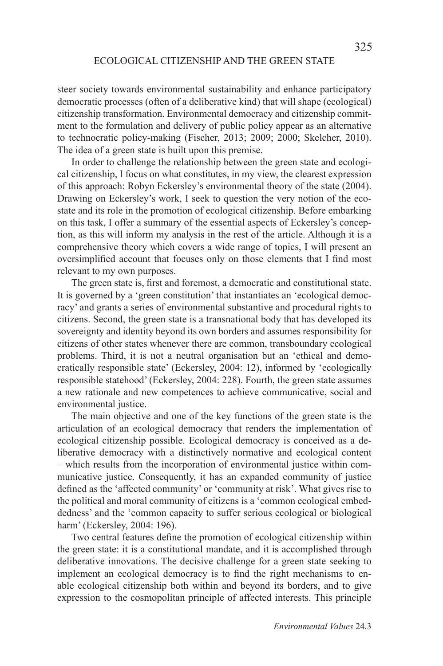steer society towards environmental sustainability and enhance participatory democratic processes (often of a deliberative kind) that will shape (ecological) citizenship transformation. Environmental democracy and citizenship commitment to the formulation and delivery of public policy appear as an alternative to technocratic policy-making (Fischer, 2013; 2009; 2000; Skelcher, 2010). The idea of a green state is built upon this premise.

In order to challenge the relationship between the green state and ecological citizenship, I focus on what constitutes, in my view, the clearest expression of this approach: Robyn Eckersley's environmental theory of the state (2004). Drawing on Eckersley's work, I seek to question the very notion of the ecostate and its role in the promotion of ecological citizenship. Before embarking on this task, I offer a summary of the essential aspects of Eckersley's conception, as this will inform my analysis in the rest of the article. Although it is a comprehensive theory which covers a wide range of topics, I will present an oversimplified account that focuses only on those elements that I find most relevant to my own purposes.

The green state is, first and foremost, a democratic and constitutional state. It is governed by a 'green constitution' that instantiates an 'ecological democracy' and grants a series of environmental substantive and procedural rights to citizens. Second, the green state is a transnational body that has developed its sovereignty and identity beyond its own borders and assumes responsibility for citizens of other states whenever there are common, transboundary ecological problems. Third, it is not a neutral organisation but an 'ethical and democratically responsible state' (Eckersley, 2004: 12), informed by 'ecologically responsible statehood' (Eckersley, 2004: 228). Fourth, the green state assumes a new rationale and new competences to achieve communicative, social and environmental justice.

The main objective and one of the key functions of the green state is the articulation of an ecological democracy that renders the implementation of ecological citizenship possible. Ecological democracy is conceived as a deliberative democracy with a distinctively normative and ecological content – which results from the incorporation of environmental justice within communicative justice. Consequently, it has an expanded community of justice defined as the 'affected community' or 'community at risk'. What gives rise to the political and moral community of citizens is a 'common ecological embeddedness' and the 'common capacity to suffer serious ecological or biological harm' (Eckersley, 2004: 196).

Two central features define the promotion of ecological citizenship within the green state: it is a constitutional mandate, and it is accomplished through deliberative innovations. The decisive challenge for a green state seeking to implement an ecological democracy is to find the right mechanisms to enable ecological citizenship both within and beyond its borders, and to give expression to the cosmopolitan principle of affected interests. This principle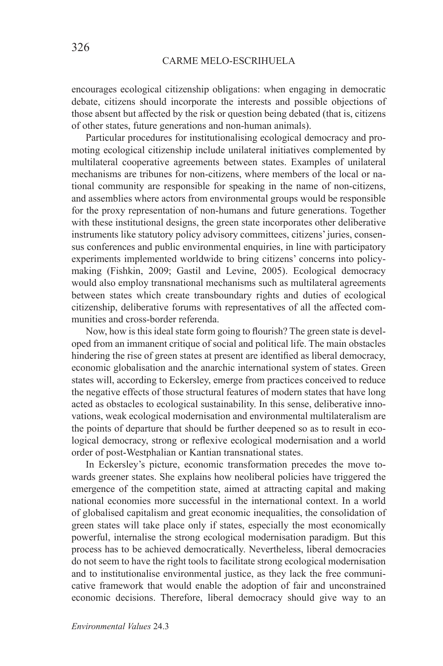encourages ecological citizenship obligations: when engaging in democratic debate, citizens should incorporate the interests and possible objections of those absent but affected by the risk or question being debated (that is, citizens of other states, future generations and non-human animals).

Particular procedures for institutionalising ecological democracy and promoting ecological citizenship include unilateral initiatives complemented by multilateral cooperative agreements between states. Examples of unilateral mechanisms are tribunes for non-citizens, where members of the local or national community are responsible for speaking in the name of non-citizens, and assemblies where actors from environmental groups would be responsible for the proxy representation of non-humans and future generations. Together with these institutional designs, the green state incorporates other deliberative instruments like statutory policy advisory committees, citizens' juries, consensus conferences and public environmental enquiries, in line with participatory experiments implemented worldwide to bring citizens' concerns into policymaking (Fishkin, 2009; Gastil and Levine, 2005). Ecological democracy would also employ transnational mechanisms such as multilateral agreements between states which create transboundary rights and duties of ecological citizenship, deliberative forums with representatives of all the affected communities and cross-border referenda.

Now, how is this ideal state form going to flourish? The green state is developed from an immanent critique of social and political life. The main obstacles hindering the rise of green states at present are identified as liberal democracy, economic globalisation and the anarchic international system of states. Green states will, according to Eckersley, emerge from practices conceived to reduce the negative effects of those structural features of modern states that have long acted as obstacles to ecological sustainability. In this sense, deliberative innovations, weak ecological modernisation and environmental multilateralism are the points of departure that should be further deepened so as to result in ecological democracy, strong or reflexive ecological modernisation and a world order of post-Westphalian or Kantian transnational states.

In Eckersley's picture, economic transformation precedes the move towards greener states. She explains how neoliberal policies have triggered the emergence of the competition state, aimed at attracting capital and making national economies more successful in the international context. In a world of globalised capitalism and great economic inequalities, the consolidation of green states will take place only if states, especially the most economically powerful, internalise the strong ecological modernisation paradigm. But this process has to be achieved democratically. Nevertheless, liberal democracies do not seem to have the right tools to facilitate strong ecological modernisation and to institutionalise environmental justice, as they lack the free communicative framework that would enable the adoption of fair and unconstrained economic decisions. Therefore, liberal democracy should give way to an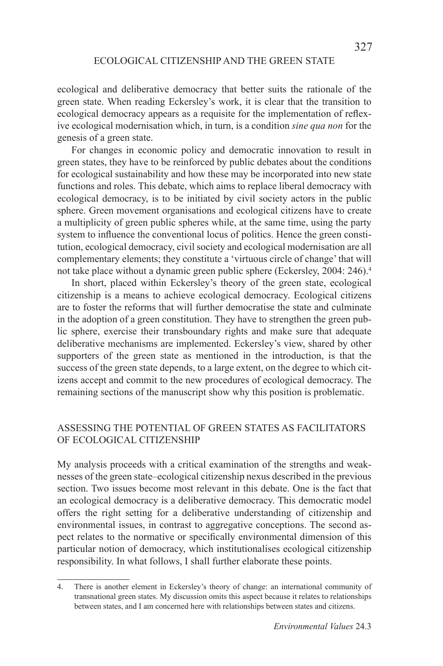ecological and deliberative democracy that better suits the rationale of the green state. When reading Eckersley's work, it is clear that the transition to ecological democracy appears as a requisite for the implementation of reflexive ecological modernisation which, in turn, is a condition *sine qua non* for the genesis of a green state.

For changes in economic policy and democratic innovation to result in green states, they have to be reinforced by public debates about the conditions for ecological sustainability and how these may be incorporated into new state functions and roles. This debate, which aims to replace liberal democracy with ecological democracy, is to be initiated by civil society actors in the public sphere. Green movement organisations and ecological citizens have to create a multiplicity of green public spheres while, at the same time, using the party system to influence the conventional locus of politics. Hence the green constitution, ecological democracy, civil society and ecological modernisation are all complementary elements; they constitute a 'virtuous circle of change' that will not take place without a dynamic green public sphere (Eckersley, 2004: 246).<sup>4</sup>

In short, placed within Eckersley's theory of the green state, ecological citizenship is a means to achieve ecological democracy. Ecological citizens are to foster the reforms that will further democratise the state and culminate in the adoption of a green constitution. They have to strengthen the green public sphere, exercise their transboundary rights and make sure that adequate deliberative mechanisms are implemented. Eckersley's view, shared by other supporters of the green state as mentioned in the introduction, is that the success of the green state depends, to a large extent, on the degree to which citizens accept and commit to the new procedures of ecological democracy. The remaining sections of the manuscript show why this position is problematic.

# ASSESSING THE POTENTIAL OF GREEN STATES AS FACILITATORS OF ECOLOGICAL CITIZENSHIP

My analysis proceeds with a critical examination of the strengths and weaknesses of the green state–ecological citizenship nexus described in the previous section. Two issues become most relevant in this debate. One is the fact that an ecological democracy is a deliberative democracy. This democratic model offers the right setting for a deliberative understanding of citizenship and environmental issues, in contrast to aggregative conceptions. The second aspect relates to the normative or specifically environmental dimension of this particular notion of democracy, which institutionalises ecological citizenship responsibility. In what follows, I shall further elaborate these points.

<sup>4.</sup> There is another element in Eckersley's theory of change: an international community of transnational green states. My discussion omits this aspect because it relates to relationships between states, and I am concerned here with relationships between states and citizens.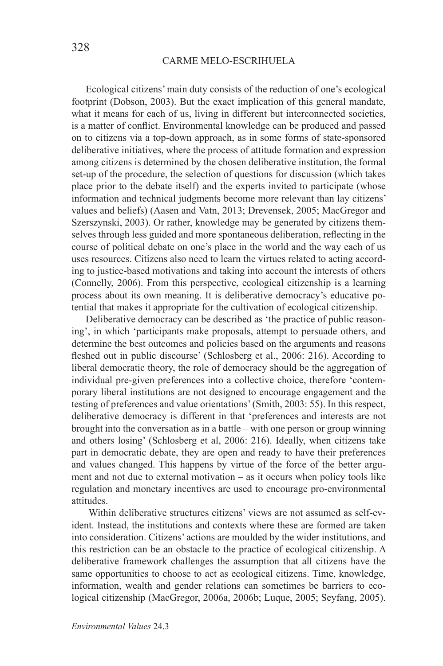Ecological citizens' main duty consists of the reduction of one's ecological footprint (Dobson, 2003). But the exact implication of this general mandate, what it means for each of us, living in different but interconnected societies, is a matter of conflict. Environmental knowledge can be produced and passed on to citizens via a top-down approach, as in some forms of state-sponsored deliberative initiatives, where the process of attitude formation and expression among citizens is determined by the chosen deliberative institution, the formal set-up of the procedure, the selection of questions for discussion (which takes place prior to the debate itself) and the experts invited to participate (whose information and technical judgments become more relevant than lay citizens' values and beliefs) (Aasen and Vatn, 2013; Drevensek, 2005; MacGregor and Szerszynski, 2003). Or rather, knowledge may be generated by citizens themselves through less guided and more spontaneous deliberation, reflecting in the course of political debate on one's place in the world and the way each of us uses resources. Citizens also need to learn the virtues related to acting according to justice-based motivations and taking into account the interests of others (Connelly, 2006). From this perspective, ecological citizenship is a learning process about its own meaning. It is deliberative democracy's educative potential that makes it appropriate for the cultivation of ecological citizenship.

Deliberative democracy can be described as 'the practice of public reasoning', in which 'participants make proposals, attempt to persuade others, and determine the best outcomes and policies based on the arguments and reasons fleshed out in public discourse' (Schlosberg et al., 2006: 216). According to liberal democratic theory, the role of democracy should be the aggregation of individual pre-given preferences into a collective choice, therefore 'contemporary liberal institutions are not designed to encourage engagement and the testing of preferences and value orientations' (Smith, 2003: 55). In this respect, deliberative democracy is different in that 'preferences and interests are not brought into the conversation as in a battle – with one person or group winning and others losing' (Schlosberg et al, 2006: 216). Ideally, when citizens take part in democratic debate, they are open and ready to have their preferences and values changed. This happens by virtue of the force of the better argument and not due to external motivation – as it occurs when policy tools like regulation and monetary incentives are used to encourage pro-environmental attitudes.

 Within deliberative structures citizens' views are not assumed as self-evident. Instead, the institutions and contexts where these are formed are taken into consideration. Citizens' actions are moulded by the wider institutions, and this restriction can be an obstacle to the practice of ecological citizenship. A deliberative framework challenges the assumption that all citizens have the same opportunities to choose to act as ecological citizens. Time, knowledge, information, wealth and gender relations can sometimes be barriers to ecological citizenship (MacGregor, 2006a, 2006b; Luque, 2005; Seyfang, 2005).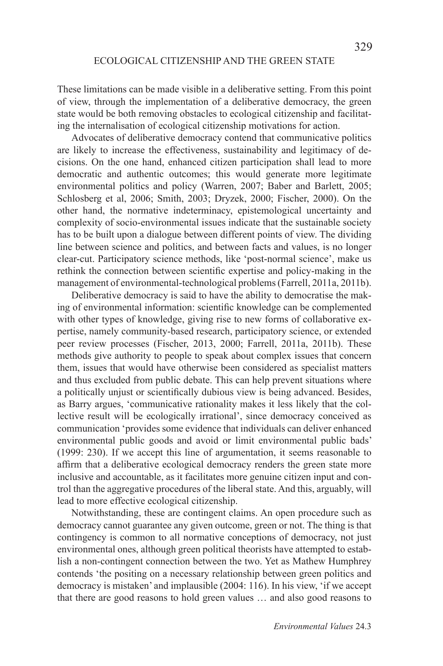These limitations can be made visible in a deliberative setting. From this point of view, through the implementation of a deliberative democracy, the green state would be both removing obstacles to ecological citizenship and facilitating the internalisation of ecological citizenship motivations for action.

Advocates of deliberative democracy contend that communicative politics are likely to increase the effectiveness, sustainability and legitimacy of decisions. On the one hand, enhanced citizen participation shall lead to more democratic and authentic outcomes; this would generate more legitimate environmental politics and policy (Warren, 2007; Baber and Barlett, 2005; Schlosberg et al, 2006; Smith, 2003; Dryzek, 2000; Fischer, 2000). On the other hand, the normative indeterminacy, epistemological uncertainty and complexity of socio-environmental issues indicate that the sustainable society has to be built upon a dialogue between different points of view. The dividing line between science and politics, and between facts and values, is no longer clear-cut. Participatory science methods, like 'post-normal science', make us rethink the connection between scientific expertise and policy-making in the management of environmental-technological problems (Farrell, 2011a, 2011b).

Deliberative democracy is said to have the ability to democratise the making of environmental information: scientific knowledge can be complemented with other types of knowledge, giving rise to new forms of collaborative expertise, namely community-based research, participatory science, or extended peer review processes (Fischer, 2013, 2000; Farrell, 2011a, 2011b). These methods give authority to people to speak about complex issues that concern them, issues that would have otherwise been considered as specialist matters and thus excluded from public debate. This can help prevent situations where a politically unjust or scientifically dubious view is being advanced. Besides, as Barry argues, 'communicative rationality makes it less likely that the collective result will be ecologically irrational', since democracy conceived as communication 'provides some evidence that individuals can deliver enhanced environmental public goods and avoid or limit environmental public bads' (1999: 230). If we accept this line of argumentation, it seems reasonable to affirm that a deliberative ecological democracy renders the green state more inclusive and accountable, as it facilitates more genuine citizen input and control than the aggregative procedures of the liberal state. And this, arguably, will lead to more effective ecological citizenship.

Notwithstanding, these are contingent claims. An open procedure such as democracy cannot guarantee any given outcome, green or not. The thing is that contingency is common to all normative conceptions of democracy, not just environmental ones, although green political theorists have attempted to establish a non-contingent connection between the two. Yet as Mathew Humphrey contends 'the positing on a necessary relationship between green politics and democracy is mistaken' and implausible (2004: 116). In his view, 'if we accept that there are good reasons to hold green values … and also good reasons to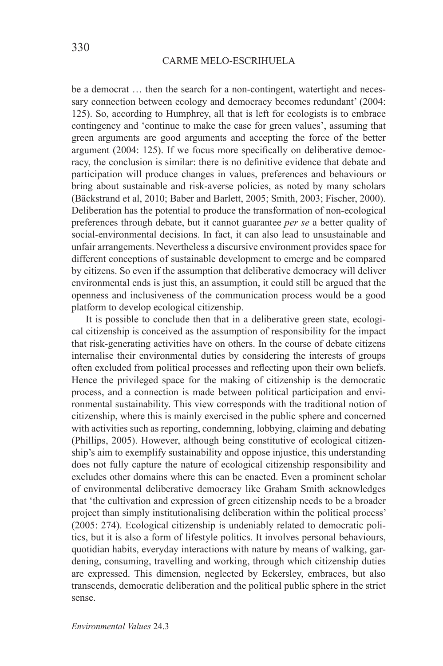be a democrat … then the search for a non-contingent, watertight and necessary connection between ecology and democracy becomes redundant' (2004: 125). So, according to Humphrey, all that is left for ecologists is to embrace contingency and 'continue to make the case for green values', assuming that green arguments are good arguments and accepting the force of the better argument (2004: 125). If we focus more specifically on deliberative democracy, the conclusion is similar: there is no definitive evidence that debate and participation will produce changes in values, preferences and behaviours or bring about sustainable and risk-averse policies, as noted by many scholars (Bäckstrand et al, 2010; Baber and Barlett, 2005; Smith, 2003; Fischer, 2000). Deliberation has the potential to produce the transformation of non-ecological preferences through debate, but it cannot guarantee *per se* a better quality of social-environmental decisions. In fact, it can also lead to unsustainable and unfair arrangements. Nevertheless a discursive environment provides space for different conceptions of sustainable development to emerge and be compared by citizens. So even if the assumption that deliberative democracy will deliver environmental ends is just this, an assumption, it could still be argued that the openness and inclusiveness of the communication process would be a good platform to develop ecological citizenship.

It is possible to conclude then that in a deliberative green state, ecological citizenship is conceived as the assumption of responsibility for the impact that risk-generating activities have on others. In the course of debate citizens internalise their environmental duties by considering the interests of groups often excluded from political processes and reflecting upon their own beliefs. Hence the privileged space for the making of citizenship is the democratic process, and a connection is made between political participation and environmental sustainability. This view corresponds with the traditional notion of citizenship, where this is mainly exercised in the public sphere and concerned with activities such as reporting, condemning, lobbying, claiming and debating (Phillips, 2005). However, although being constitutive of ecological citizenship's aim to exemplify sustainability and oppose injustice, this understanding does not fully capture the nature of ecological citizenship responsibility and excludes other domains where this can be enacted. Even a prominent scholar of environmental deliberative democracy like Graham Smith acknowledges that 'the cultivation and expression of green citizenship needs to be a broader project than simply institutionalising deliberation within the political process' (2005: 274). Ecological citizenship is undeniably related to democratic politics, but it is also a form of lifestyle politics. It involves personal behaviours, quotidian habits, everyday interactions with nature by means of walking, gardening, consuming, travelling and working, through which citizenship duties are expressed. This dimension, neglected by Eckersley, embraces, but also transcends, democratic deliberation and the political public sphere in the strict sense.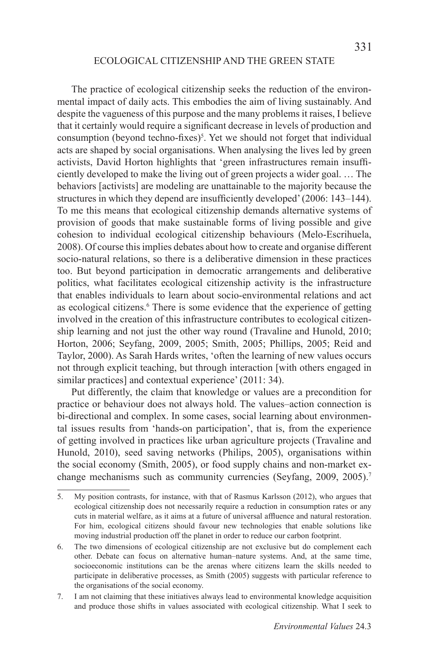The practice of ecological citizenship seeks the reduction of the environmental impact of daily acts. This embodies the aim of living sustainably. And despite the vagueness of this purpose and the many problems it raises, I believe that it certainly would require a significant decrease in levels of production and consumption (beyond techno-fixes)<sup>5</sup>. Yet we should not forget that individual acts are shaped by social organisations. When analysing the lives led by green activists, David Horton highlights that 'green infrastructures remain insufficiently developed to make the living out of green projects a wider goal. … The behaviors [activists] are modeling are unattainable to the majority because the structures in which they depend are insufficiently developed' (2006: 143–144). To me this means that ecological citizenship demands alternative systems of provision of goods that make sustainable forms of living possible and give cohesion to individual ecological citizenship behaviours (Melo-Escrihuela, 2008). Of course this implies debates about how to create and organise different socio-natural relations, so there is a deliberative dimension in these practices too. But beyond participation in democratic arrangements and deliberative politics, what facilitates ecological citizenship activity is the infrastructure that enables individuals to learn about socio-environmental relations and act as ecological citizens.<sup>6</sup> There is some evidence that the experience of getting involved in the creation of this infrastructure contributes to ecological citizenship learning and not just the other way round (Travaline and Hunold, 2010; Horton, 2006; Seyfang, 2009, 2005; Smith, 2005; Phillips, 2005; Reid and Taylor, 2000). As Sarah Hards writes, 'often the learning of new values occurs not through explicit teaching, but through interaction [with others engaged in similar practices] and contextual experience' (2011: 34).

Put differently, the claim that knowledge or values are a precondition for practice or behaviour does not always hold. The values–action connection is bi-directional and complex. In some cases, social learning about environmental issues results from 'hands-on participation', that is, from the experience of getting involved in practices like urban agriculture projects (Travaline and Hunold, 2010), seed saving networks (Philips, 2005), organisations within the social economy (Smith, 2005), or food supply chains and non-market exchange mechanisms such as community currencies (Seyfang, 2009, 2005).<sup>7</sup>

<sup>5.</sup> My position contrasts, for instance, with that of Rasmus Karlsson (2012), who argues that ecological citizenship does not necessarily require a reduction in consumption rates or any cuts in material welfare, as it aims at a future of universal affluence and natural restoration. For him, ecological citizens should favour new technologies that enable solutions like moving industrial production off the planet in order to reduce our carbon footprint.

<sup>6.</sup> The two dimensions of ecological citizenship are not exclusive but do complement each other. Debate can focus on alternative human–nature systems. And, at the same time, socioeconomic institutions can be the arenas where citizens learn the skills needed to participate in deliberative processes, as Smith (2005) suggests with particular reference to the organisations of the social economy.

<sup>7.</sup> I am not claiming that these initiatives always lead to environmental knowledge acquisition and produce those shifts in values associated with ecological citizenship. What I seek to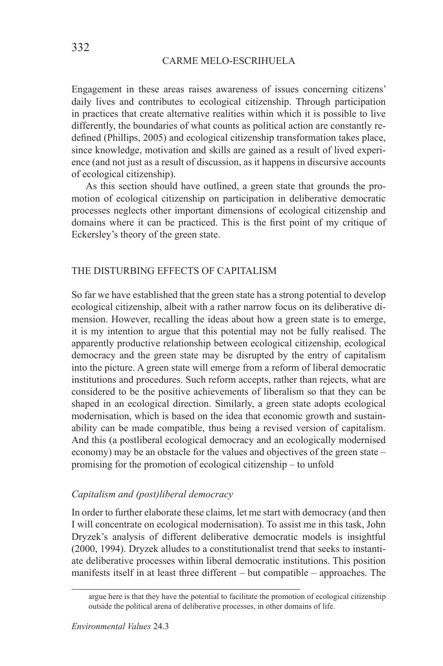Engagement in these areas raises awareness of issues concerning citizens' daily lives and contributes to ecological citizenship. Through participation in practices that create alternative realities within which it is possible to live differently, the boundaries of what counts as political action are constantly redefined (Phillips, 2005) and ecological citizenship transformation takes place, since knowledge, motivation and skills are gained as a result of lived experience (and not just as a result of discussion, as it happens in discursive accounts of ecological citizenship).

As this section should have outlined, a green state that grounds the promotion of ecological citizenship on participation in deliberative democratic processes neglects other important dimensions of ecological citizenship and domains where it can be practiced. This is the first point of my critique of Eckersley's theory of the green state.

# THE DISTURBING EFFECTS OF CAPITALISM

So far we have established that the green state has a strong potential to develop ecological citizenship, albeit with a rather narrow focus on its deliberative dimension. However, recalling the ideas about how a green state is to emerge, it is my intention to argue that this potential may not be fully realised. The apparently productive relationship between ecological citizenship, ecological democracy and the green state may be disrupted by the entry of capitalism into the picture. A green state will emerge from a reform of liberal democratic institutions and procedures. Such reform accepts, rather than rejects, what are considered to be the positive achievements of liberalism so that they can be shaped in an ecological direction. Similarly, a green state adopts ecological modernisation, which is based on the idea that economic growth and sustainability can be made compatible, thus being a revised version of capitalism. And this (a postliberal ecological democracy and an ecologically modernised economy) may be an obstacle for the values and objectives of the green state – promising for the promotion of ecological citizenship – to unfold

# *Capitalism and (post)liberal democracy*

In order to further elaborate these claims, let me start with democracy (and then I will concentrate on ecological modernisation). To assist me in this task, John Dryzek's analysis of different deliberative democratic models is insightful (2000, 1994). Dryzek alludes to a constitutionalist trend that seeks to instantiate deliberative processes within liberal democratic institutions. This position manifests itself in at least three different – but compatible – approaches. The

argue here is that they have the potential to facilitate the promotion of ecological citizenship outside the political arena of deliberative processes, in other domains of life.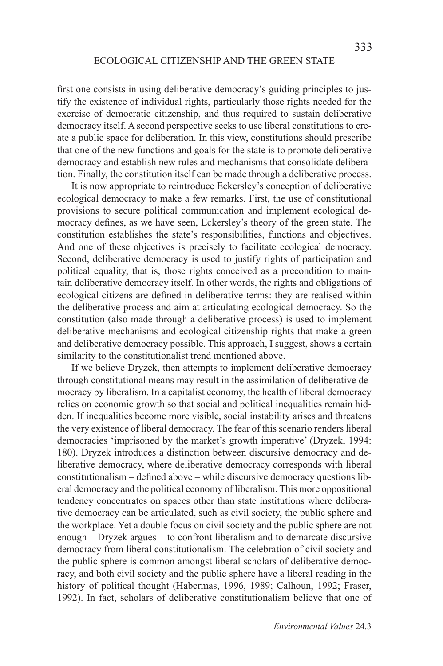first one consists in using deliberative democracy's guiding principles to justify the existence of individual rights, particularly those rights needed for the exercise of democratic citizenship, and thus required to sustain deliberative democracy itself. A second perspective seeks to use liberal constitutions to create a public space for deliberation. In this view, constitutions should prescribe that one of the new functions and goals for the state is to promote deliberative democracy and establish new rules and mechanisms that consolidate deliberation. Finally, the constitution itself can be made through a deliberative process.

It is now appropriate to reintroduce Eckersley's conception of deliberative ecological democracy to make a few remarks. First, the use of constitutional provisions to secure political communication and implement ecological democracy defines, as we have seen, Eckersley's theory of the green state. The constitution establishes the state's responsibilities, functions and objectives. And one of these objectives is precisely to facilitate ecological democracy. Second, deliberative democracy is used to justify rights of participation and political equality, that is, those rights conceived as a precondition to maintain deliberative democracy itself. In other words, the rights and obligations of ecological citizens are defined in deliberative terms: they are realised within the deliberative process and aim at articulating ecological democracy. So the constitution (also made through a deliberative process) is used to implement deliberative mechanisms and ecological citizenship rights that make a green and deliberative democracy possible. This approach, I suggest, shows a certain similarity to the constitutionalist trend mentioned above.

If we believe Dryzek, then attempts to implement deliberative democracy through constitutional means may result in the assimilation of deliberative democracy by liberalism. In a capitalist economy, the health of liberal democracy relies on economic growth so that social and political inequalities remain hidden. If inequalities become more visible, social instability arises and threatens the very existence of liberal democracy. The fear of this scenario renders liberal democracies 'imprisoned by the market's growth imperative' (Dryzek, 1994: 180). Dryzek introduces a distinction between discursive democracy and deliberative democracy, where deliberative democracy corresponds with liberal constitutionalism – defined above – while discursive democracy questions liberal democracy and the political economy of liberalism. This more oppositional tendency concentrates on spaces other than state institutions where deliberative democracy can be articulated, such as civil society, the public sphere and the workplace. Yet a double focus on civil society and the public sphere are not enough – Dryzek argues – to confront liberalism and to demarcate discursive democracy from liberal constitutionalism. The celebration of civil society and the public sphere is common amongst liberal scholars of deliberative democracy, and both civil society and the public sphere have a liberal reading in the history of political thought (Habermas, 1996, 1989; Calhoun, 1992; Fraser, 1992). In fact, scholars of deliberative constitutionalism believe that one of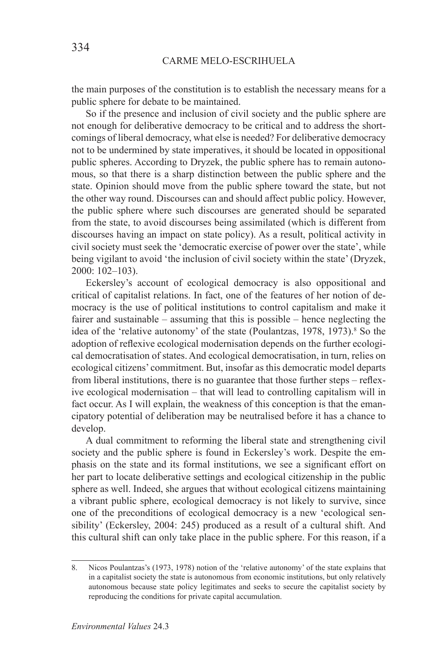the main purposes of the constitution is to establish the necessary means for a public sphere for debate to be maintained.

So if the presence and inclusion of civil society and the public sphere are not enough for deliberative democracy to be critical and to address the shortcomings of liberal democracy, what else is needed? For deliberative democracy not to be undermined by state imperatives, it should be located in oppositional public spheres. According to Dryzek, the public sphere has to remain autonomous, so that there is a sharp distinction between the public sphere and the state. Opinion should move from the public sphere toward the state, but not the other way round. Discourses can and should affect public policy. However, the public sphere where such discourses are generated should be separated from the state, to avoid discourses being assimilated (which is different from discourses having an impact on state policy). As a result, political activity in civil society must seek the 'democratic exercise of power over the state', while being vigilant to avoid 'the inclusion of civil society within the state' (Dryzek, 2000: 102–103).

Eckersley's account of ecological democracy is also oppositional and critical of capitalist relations. In fact, one of the features of her notion of democracy is the use of political institutions to control capitalism and make it fairer and sustainable – assuming that this is possible – hence neglecting the idea of the 'relative autonomy' of the state (Poulantzas, 1978, 1973).<sup>8</sup> So the adoption of reflexive ecological modernisation depends on the further ecological democratisation of states. And ecological democratisation, in turn, relies on ecological citizens' commitment. But, insofar as this democratic model departs from liberal institutions, there is no guarantee that those further steps – reflexive ecological modernisation – that will lead to controlling capitalism will in fact occur. As I will explain, the weakness of this conception is that the emancipatory potential of deliberation may be neutralised before it has a chance to develop.

A dual commitment to reforming the liberal state and strengthening civil society and the public sphere is found in Eckersley's work. Despite the emphasis on the state and its formal institutions, we see a significant effort on her part to locate deliberative settings and ecological citizenship in the public sphere as well. Indeed, she argues that without ecological citizens maintaining a vibrant public sphere, ecological democracy is not likely to survive, since one of the preconditions of ecological democracy is a new 'ecological sensibility' (Eckersley, 2004: 245) produced as a result of a cultural shift. And this cultural shift can only take place in the public sphere. For this reason, if a

<sup>8.</sup> Nicos Poulantzas's (1973, 1978) notion of the 'relative autonomy' of the state explains that in a capitalist society the state is autonomous from economic institutions, but only relatively autonomous because state policy legitimates and seeks to secure the capitalist society by reproducing the conditions for private capital accumulation.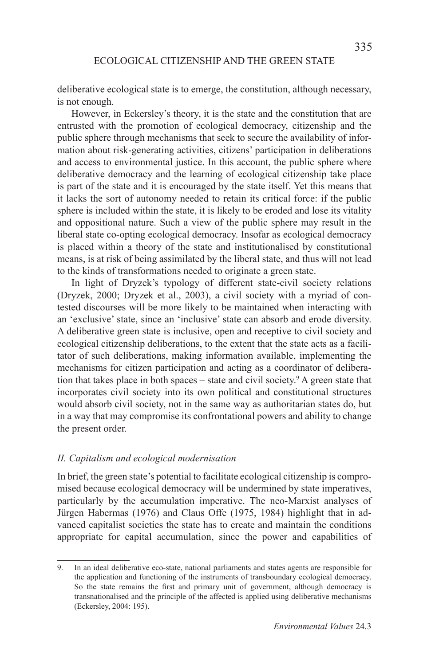deliberative ecological state is to emerge, the constitution, although necessary, is not enough.

However, in Eckersley's theory, it is the state and the constitution that are entrusted with the promotion of ecological democracy, citizenship and the public sphere through mechanisms that seek to secure the availability of information about risk-generating activities, citizens' participation in deliberations and access to environmental justice. In this account, the public sphere where deliberative democracy and the learning of ecological citizenship take place is part of the state and it is encouraged by the state itself. Yet this means that it lacks the sort of autonomy needed to retain its critical force: if the public sphere is included within the state, it is likely to be eroded and lose its vitality and oppositional nature. Such a view of the public sphere may result in the liberal state co-opting ecological democracy. Insofar as ecological democracy is placed within a theory of the state and institutionalised by constitutional means, is at risk of being assimilated by the liberal state, and thus will not lead to the kinds of transformations needed to originate a green state.

In light of Dryzek's typology of different state-civil society relations (Dryzek, 2000; Dryzek et al., 2003), a civil society with a myriad of contested discourses will be more likely to be maintained when interacting with an 'exclusive' state, since an 'inclusive' state can absorb and erode diversity. A deliberative green state is inclusive, open and receptive to civil society and ecological citizenship deliberations, to the extent that the state acts as a facilitator of such deliberations, making information available, implementing the mechanisms for citizen participation and acting as a coordinator of deliberation that takes place in both spaces – state and civil society.9 A green state that incorporates civil society into its own political and constitutional structures would absorb civil society, not in the same way as authoritarian states do, but in a way that may compromise its confrontational powers and ability to change the present order.

#### *II. Capitalism and ecological modernisation*

In brief, the green state's potential to facilitate ecological citizenship is compromised because ecological democracy will be undermined by state imperatives, particularly by the accumulation imperative. The neo-Marxist analyses of Jürgen Habermas (1976) and Claus Offe (1975, 1984) highlight that in advanced capitalist societies the state has to create and maintain the conditions appropriate for capital accumulation, since the power and capabilities of

<sup>9.</sup> In an ideal deliberative eco-state, national parliaments and states agents are responsible for the application and functioning of the instruments of transboundary ecological democracy. So the state remains the first and primary unit of government, although democracy is transnationalised and the principle of the affected is applied using deliberative mechanisms (Eckersley, 2004: 195).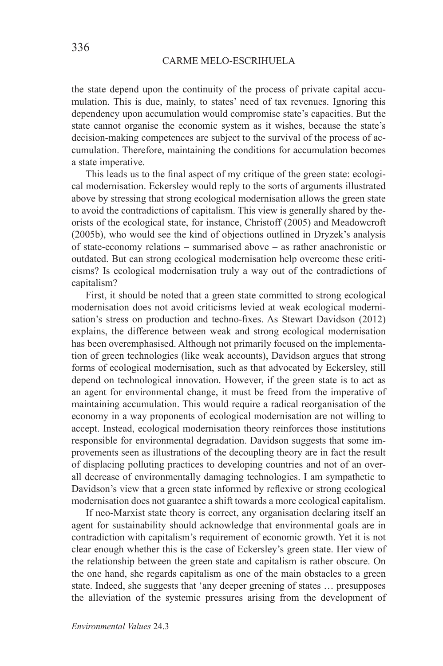the state depend upon the continuity of the process of private capital accumulation. This is due, mainly, to states' need of tax revenues. Ignoring this dependency upon accumulation would compromise state's capacities. But the state cannot organise the economic system as it wishes, because the state's decision-making competences are subject to the survival of the process of accumulation. Therefore, maintaining the conditions for accumulation becomes a state imperative.

This leads us to the final aspect of my critique of the green state: ecological modernisation. Eckersley would reply to the sorts of arguments illustrated above by stressing that strong ecological modernisation allows the green state to avoid the contradictions of capitalism. This view is generally shared by theorists of the ecological state, for instance, Christoff (2005) and Meadowcroft (2005b), who would see the kind of objections outlined in Dryzek's analysis of state-economy relations – summarised above – as rather anachronistic or outdated. But can strong ecological modernisation help overcome these criticisms? Is ecological modernisation truly a way out of the contradictions of capitalism?

First, it should be noted that a green state committed to strong ecological modernisation does not avoid criticisms levied at weak ecological modernisation's stress on production and techno-fixes. As Stewart Davidson (2012) explains, the difference between weak and strong ecological modernisation has been overemphasised. Although not primarily focused on the implementation of green technologies (like weak accounts), Davidson argues that strong forms of ecological modernisation, such as that advocated by Eckersley, still depend on technological innovation. However, if the green state is to act as an agent for environmental change, it must be freed from the imperative of maintaining accumulation. This would require a radical reorganisation of the economy in a way proponents of ecological modernisation are not willing to accept. Instead, ecological modernisation theory reinforces those institutions responsible for environmental degradation. Davidson suggests that some improvements seen as illustrations of the decoupling theory are in fact the result of displacing polluting practices to developing countries and not of an overall decrease of environmentally damaging technologies. I am sympathetic to Davidson's view that a green state informed by reflexive or strong ecological modernisation does not guarantee a shift towards a more ecological capitalism.

If neo-Marxist state theory is correct, any organisation declaring itself an agent for sustainability should acknowledge that environmental goals are in contradiction with capitalism's requirement of economic growth. Yet it is not clear enough whether this is the case of Eckersley's green state. Her view of the relationship between the green state and capitalism is rather obscure. On the one hand, she regards capitalism as one of the main obstacles to a green state. Indeed, she suggests that 'any deeper greening of states … presupposes the alleviation of the systemic pressures arising from the development of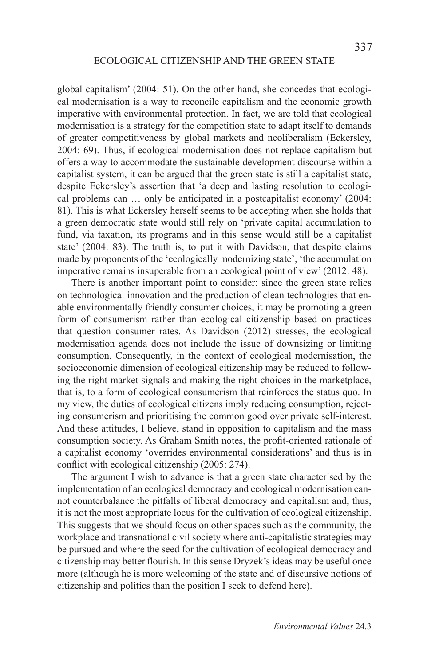global capitalism' (2004: 51). On the other hand, she concedes that ecological modernisation is a way to reconcile capitalism and the economic growth imperative with environmental protection. In fact, we are told that ecological modernisation is a strategy for the competition state to adapt itself to demands of greater competitiveness by global markets and neoliberalism (Eckersley, 2004: 69). Thus, if ecological modernisation does not replace capitalism but offers a way to accommodate the sustainable development discourse within a capitalist system, it can be argued that the green state is still a capitalist state, despite Eckersley's assertion that 'a deep and lasting resolution to ecological problems can … only be anticipated in a postcapitalist economy' (2004: 81). This is what Eckersley herself seems to be accepting when she holds that a green democratic state would still rely on 'private capital accumulation to fund, via taxation, its programs and in this sense would still be a capitalist state' (2004: 83). The truth is, to put it with Davidson, that despite claims made by proponents of the 'ecologically modernizing state', 'the accumulation imperative remains insuperable from an ecological point of view' (2012: 48).

There is another important point to consider: since the green state relies on technological innovation and the production of clean technologies that enable environmentally friendly consumer choices, it may be promoting a green form of consumerism rather than ecological citizenship based on practices that question consumer rates. As Davidson (2012) stresses, the ecological modernisation agenda does not include the issue of downsizing or limiting consumption. Consequently, in the context of ecological modernisation, the socioeconomic dimension of ecological citizenship may be reduced to following the right market signals and making the right choices in the marketplace, that is, to a form of ecological consumerism that reinforces the status quo. In my view, the duties of ecological citizens imply reducing consumption, rejecting consumerism and prioritising the common good over private self-interest. And these attitudes, I believe, stand in opposition to capitalism and the mass consumption society. As Graham Smith notes, the profit-oriented rationale of a capitalist economy 'overrides environmental considerations' and thus is in conflict with ecological citizenship (2005: 274).

The argument I wish to advance is that a green state characterised by the implementation of an ecological democracy and ecological modernisation cannot counterbalance the pitfalls of liberal democracy and capitalism and, thus, it is not the most appropriate locus for the cultivation of ecological citizenship. This suggests that we should focus on other spaces such as the community, the workplace and transnational civil society where anti-capitalistic strategies may be pursued and where the seed for the cultivation of ecological democracy and citizenship may better flourish. In this sense Dryzek's ideas may be useful once more (although he is more welcoming of the state and of discursive notions of citizenship and politics than the position I seek to defend here).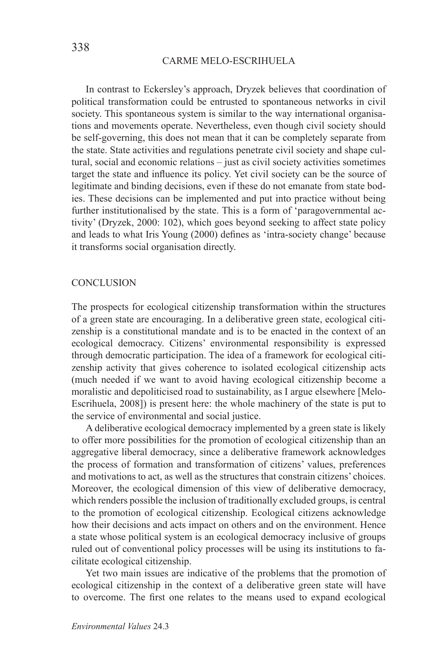In contrast to Eckersley's approach, Dryzek believes that coordination of political transformation could be entrusted to spontaneous networks in civil society. This spontaneous system is similar to the way international organisations and movements operate. Nevertheless, even though civil society should be self-governing, this does not mean that it can be completely separate from the state. State activities and regulations penetrate civil society and shape cultural, social and economic relations – just as civil society activities sometimes target the state and influence its policy. Yet civil society can be the source of legitimate and binding decisions, even if these do not emanate from state bodies. These decisions can be implemented and put into practice without being further institutionalised by the state. This is a form of 'paragovernmental activity' (Dryzek, 2000: 102), which goes beyond seeking to affect state policy and leads to what Iris Young (2000) defines as 'intra-society change' because it transforms social organisation directly.

# **CONCLUSION**

The prospects for ecological citizenship transformation within the structures of a green state are encouraging. In a deliberative green state, ecological citizenship is a constitutional mandate and is to be enacted in the context of an ecological democracy. Citizens' environmental responsibility is expressed through democratic participation. The idea of a framework for ecological citizenship activity that gives coherence to isolated ecological citizenship acts (much needed if we want to avoid having ecological citizenship become a moralistic and depoliticised road to sustainability, as I argue elsewhere [Melo-Escrihuela, 2008]) is present here: the whole machinery of the state is put to the service of environmental and social justice.

A deliberative ecological democracy implemented by a green state is likely to offer more possibilities for the promotion of ecological citizenship than an aggregative liberal democracy, since a deliberative framework acknowledges the process of formation and transformation of citizens' values, preferences and motivations to act, as well as the structures that constrain citizens' choices. Moreover, the ecological dimension of this view of deliberative democracy, which renders possible the inclusion of traditionally excluded groups, is central to the promotion of ecological citizenship. Ecological citizens acknowledge how their decisions and acts impact on others and on the environment. Hence a state whose political system is an ecological democracy inclusive of groups ruled out of conventional policy processes will be using its institutions to facilitate ecological citizenship.

Yet two main issues are indicative of the problems that the promotion of ecological citizenship in the context of a deliberative green state will have to overcome. The first one relates to the means used to expand ecological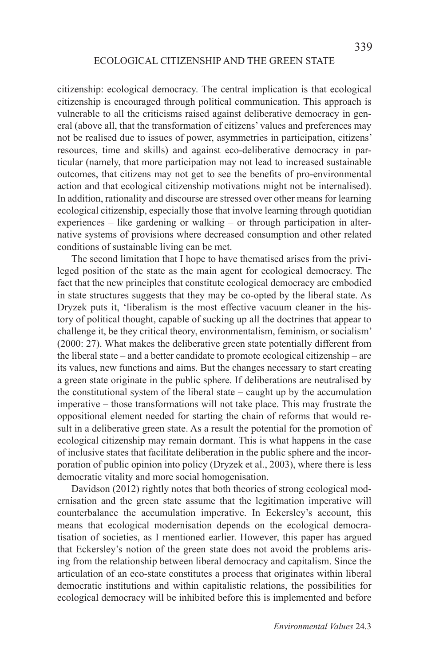citizenship: ecological democracy. The central implication is that ecological citizenship is encouraged through political communication. This approach is vulnerable to all the criticisms raised against deliberative democracy in general (above all, that the transformation of citizens' values and preferences may not be realised due to issues of power, asymmetries in participation, citizens' resources, time and skills) and against eco-deliberative democracy in particular (namely, that more participation may not lead to increased sustainable outcomes, that citizens may not get to see the benefits of pro-environmental action and that ecological citizenship motivations might not be internalised). In addition, rationality and discourse are stressed over other means for learning ecological citizenship, especially those that involve learning through quotidian experiences – like gardening or walking – or through participation in alternative systems of provisions where decreased consumption and other related conditions of sustainable living can be met.

The second limitation that I hope to have thematised arises from the privileged position of the state as the main agent for ecological democracy. The fact that the new principles that constitute ecological democracy are embodied in state structures suggests that they may be co-opted by the liberal state. As Dryzek puts it, 'liberalism is the most effective vacuum cleaner in the history of political thought, capable of sucking up all the doctrines that appear to challenge it, be they critical theory, environmentalism, feminism, or socialism' (2000: 27). What makes the deliberative green state potentially different from the liberal state – and a better candidate to promote ecological citizenship – are its values, new functions and aims. But the changes necessary to start creating a green state originate in the public sphere. If deliberations are neutralised by the constitutional system of the liberal state – caught up by the accumulation imperative – those transformations will not take place. This may frustrate the oppositional element needed for starting the chain of reforms that would result in a deliberative green state. As a result the potential for the promotion of ecological citizenship may remain dormant. This is what happens in the case of inclusive states that facilitate deliberation in the public sphere and the incorporation of public opinion into policy (Dryzek et al., 2003), where there is less democratic vitality and more social homogenisation.

Davidson (2012) rightly notes that both theories of strong ecological modernisation and the green state assume that the legitimation imperative will counterbalance the accumulation imperative. In Eckersley's account, this means that ecological modernisation depends on the ecological democratisation of societies, as I mentioned earlier. However, this paper has argued that Eckersley's notion of the green state does not avoid the problems arising from the relationship between liberal democracy and capitalism. Since the articulation of an eco-state constitutes a process that originates within liberal democratic institutions and within capitalistic relations, the possibilities for ecological democracy will be inhibited before this is implemented and before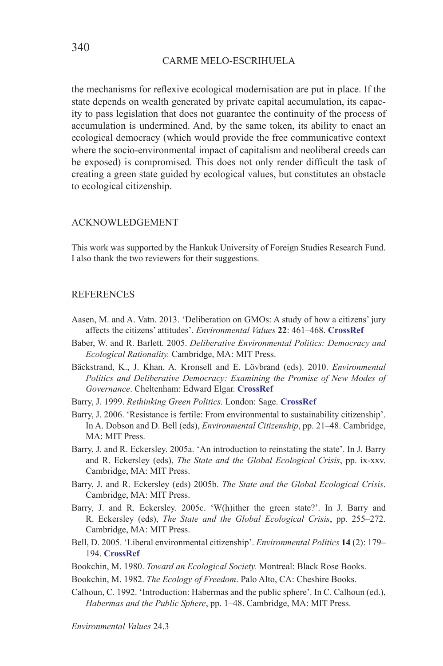the mechanisms for reflexive ecological modernisation are put in place. If the state depends on wealth generated by private capital accumulation, its capacity to pass legislation that does not guarantee the continuity of the process of accumulation is undermined. And, by the same token, its ability to enact an ecological democracy (which would provide the free communicative context where the socio-environmental impact of capitalism and neoliberal creeds can be exposed) is compromised. This does not only render difficult the task of creating a green state guided by ecological values, but constitutes an obstacle to ecological citizenship.

#### ACKNOWLEDGEMENT

This work was supported by the Hankuk University of Foreign Studies Research Fund. I also thank the two reviewers for their suggestions.

#### REFERENCES

- Aasen, M. and A. Vatn. 2013. 'Deliberation on GMOs: A study of how a citizens' jury affects the citizens' attitudes'. *Environmental Values* **22**: 461–468. **[CrossRef](http://dx.doi.org/10.3197/096327113X13690717320702)**
- Baber, W. and R. Barlett. 2005. *Deliberative Environmental Politics: Democracy and Ecological Rationality.* Cambridge, MA: MIT Press.
- Bäckstrand, K., J. Khan, A. Kronsell and E. Lövbrand (eds). 2010. *Environmental Politics and Deliberative Democracy: Examining the Promise of New Modes of Governance*. Cheltenham: Edward Elgar. **[CrossRef](http://dx.doi.org/10.4337/9781849806411)**
- Barry, J. 1999. *Rethinking Green Politics.* London: Sage. **[CrossRef](http://dx.doi.org/10.4135/9781446279311)**
- Barry, J. 2006. 'Resistance is fertile: From environmental to sustainability citizenship'. In A. Dobson and D. Bell (eds), *Environmental Citizenship*, pp. 21–48. Cambridge, MA: MIT Press.
- Barry, J. and R. Eckersley. 2005a. 'An introduction to reinstating the state'. In J. Barry and R. Eckersley (eds), *The State and the Global Ecological Crisis*, pp. ix-xxv. Cambridge, MA: MIT Press.
- Barry, J. and R. Eckersley (eds) 2005b. *The State and the Global Ecological Crisis*. Cambridge, MA: MIT Press.
- Barry, J. and R. Eckersley. 2005c. 'W(h)ither the green state?'. In J. Barry and R. Eckersley (eds), *The State and the Global Ecological Crisis*, pp. 255–272. Cambridge, MA: MIT Press.
- Bell, D. 2005. 'Liberal environmental citizenship'. *Environmental Politics* **14** (2): 179– 194. **[CrossRef](http://dx.doi.org/10.1080/09644010500054863)**
- Bookchin, M. 1980. *Toward an Ecological Society.* Montreal: Black Rose Books.
- Bookchin, M. 1982. *The Ecology of Freedom*. Palo Alto, CA: Cheshire Books.
- Calhoun, C. 1992. 'Introduction: Habermas and the public sphere'. In C. Calhoun (ed.), *Habermas and the Public Sphere*, pp. 1–48. Cambridge, MA: MIT Press.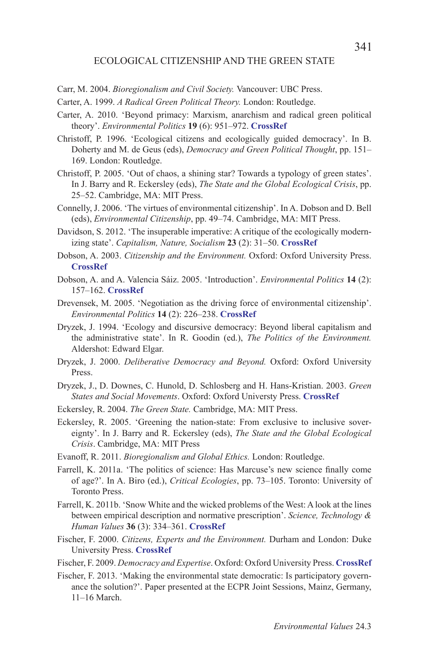Carr, M. 2004. *Bioregionalism and Civil Society.* Vancouver: UBC Press.

- Carter, A. 1999. *A Radical Green Political Theory.* London: Routledge.
- Carter, A. 2010. 'Beyond primacy: Marxism, anarchism and radical green political theory'. *Environmental Politics* **19** (6): 951–972. **CrossRef**
- Christoff, P. 1996. 'Ecological citizens and ecologically guided democracy'. In B. Doherty and M. de Geus (eds), *Democracy and Green Political Thought*, pp. 151– 169. London: Routledge.
- Christoff, P. 2005. 'Out of chaos, a shining star? Towards a typology of green states'. In J. Barry and R. Eckersley (eds), *The State and the Global Ecological Crisis*, pp. 25–52. Cambridge, MA: MIT Press.
- Connelly, J. 2006. 'The virtues of environmental citizenship'. In A. Dobson and D. Bell (eds), *Environmental Citizenship*, pp. 49–74. Cambridge, MA: MIT Press.
- Davidson, S. 2012. 'The insuperable imperative: A critique of the ecologically modernizing state'. *Capitalism, Nature, Socialism* **23** (2): 31–50. **[CrossRef](http://dx.doi.org/10.1080/10455752.2012.674147)**
- Dobson, A. 2003. *Citizenship and the Environment.* Oxford: Oxford University Press. **[CrossRef](http://dx.doi.org/10.1093/0199258449.001.0001)**
- Dobson, A. and A. Valencia Sáiz. 2005. 'Introduction'. *Environmental Politics* **14** (2): 157–162. **[CrossRef](http://dx.doi.org/10.1080/09644010500054822)**
- Drevensek, M. 2005. 'Negotiation as the driving force of environmental citizenship'. *Environmental Politics* **14** (2): 226–238. **[CrossRef](http://dx.doi.org/10.1080/09644010500055126)**
- Dryzek, J. 1994. 'Ecology and discursive democracy: Beyond liberal capitalism and the administrative state'. In R. Goodin (ed.), *The Politics of the Environment.* Aldershot: Edward Elgar.
- Dryzek, J. 2000. *Deliberative Democracy and Beyond.* Oxford: Oxford University Press.
- Dryzek, J., D. Downes, C. Hunold, D. Schlosberg and H. Hans-Kristian. 2003. *Green States and Social Movements*. Oxford: Oxford Universty Press. **[CrossRef](http://dx.doi.org/10.1093/0199249024.001.0001)**
- Eckersley, R. 2004. *The Green State.* Cambridge, MA: MIT Press.
- Eckersley, R. 2005. 'Greening the nation-state: From exclusive to inclusive sovereignty'. In J. Barry and R. Eckersley (eds), *The State and the Global Ecological Crisis*. Cambridge, MA: MIT Press
- Evanoff, R. 2011. *Bioregionalism and Global Ethics.* London: Routledge.
- Farrell, K. 2011a. 'The politics of science: Has Marcuse's new science finally come of age?'. In A. Biro (ed.), *Critical Ecologies*, pp. 73–105. Toronto: University of Toronto Press.
- Farrell, K. 2011b. 'Snow White and the wicked problems of the West: A look at the lines between empirical description and normative prescription'. *Science, Technology & Human Values* **36** (3): 334–361. **[CrossRef](http://dx.doi.org/10.1177/0162243910385796)**
- Fischer, F. 2000. *Citizens, Experts and the Environment.* Durham and London: Duke University Press. **[CrossRef](http://dx.doi.org/10.1215/9780822380283)**
- Fischer, F. 2009. *Democracy and Expertise*. Oxford: Oxford University Press. **[CrossRef]( http://dx.doi.org/10.1093/acprof:oso/9780199282838.001.0001)**
- Fischer, F. 2013. 'Making the environmental state democratic: Is participatory governance the solution?'. Paper presented at the ECPR Joint Sessions, Mainz, Germany, 11–16 March.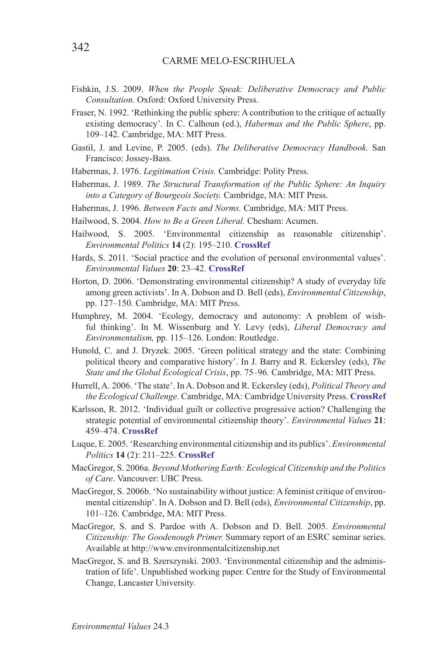- Fishkin, J.S. 2009. *When the People Speak: Deliberative Democracy and Public Consultation.* Oxford: Oxford University Press.
- Fraser, N. 1992. 'Rethinking the public sphere: A contribution to the critique of actually existing democracy'. In C. Calhoun (ed.), *Habermas and the Public Sphere*, pp. 109–142. Cambridge, MA: MIT Press.
- Gastil, J. and Levine, P. 2005. (eds). *The Deliberative Democracy Handbook.* San Francisco: Jossey-Bass*.*
- Habermas, J. 1976. *Legitimation Crisis.* Cambridge: Polity Press.
- Habermas, J. 1989. *The Structural Transformation of the Public Sphere: An Inquiry into a Category of Bourgeois Society.* Cambridge, MA: MIT Press.
- Habermas, J. 1996. *Between Facts and Norms.* Cambridge, MA: MIT Press.
- Hailwood, S. 2004. *How to Be a Green Liberal.* Chesham: Acumen.
- Hailwood, S. 2005. 'Environmental citizenship as reasonable citizenship'. *Environmental Politics* **14** (2): 195–210. **[CrossRef](http://dx.doi.org/10.1080/09644010500054921)**
- Hards, S. 2011. 'Social practice and the evolution of personal environmental values'. *Environmental Values* **20**: 23–42. **[CrossRef](http://dx.doi.org/10.3197/096327111X12922350165996)**
- Horton, D. 2006. 'Demonstrating environmental citizenship? A study of everyday life among green activists'. In A. Dobson and D. Bell (eds), *Environmental Citizenship*, pp. 127–150*.* Cambridge, MA: MIT Press.
- Humphrey, M. 2004. 'Ecology, democracy and autonomy: A problem of wishful thinking'. In M. Wissenburg and Y. Levy (eds), *Liberal Democracy and Environmentalism,* pp. 115–126*.* London: Routledge.
- Hunold, C. and J. Dryzek. 2005. 'Green political strategy and the state: Combining political theory and comparative history'. In J. Barry and R. Eckersley (eds), *The State and the Global Ecological Crisis*, pp. 75–96*.* Cambridge, MA: MIT Press.
- Hurrell, A. 2006. 'The state'. In A. Dobson and R. Eckersley (eds), *Political Theory and the Ecological Challenge.* Cambridge, MA: Cambridge University Press. **[CrossRef](http://dx.doi.org/10.1017/CBO9780511617805.011)**
- Karlsson, R. 2012. 'Individual guilt or collective progressive action? Challenging the strategic potential of environmental citizenship theory'. *Environmental Values* **21**: 459–474. **[CrossRef](http://dx.doi.org/10.3197/096327112X13466893628102)**
- Luque, E. 2005. 'Researching environmental citizenship and its publics'. *Environmental Politics* **14** (2): 211–225. **[CrossRef](http://dx.doi.org/10.1080/09644010500054947)**
- MacGregor, S. 2006a. *Beyond Mothering Earth: Ecological Citizenship and the Politics of Care*. Vancouver: UBC Press.
- MacGregor, S. 2006b. 'No sustainability without justice: A feminist critique of environmental citizenship'. In A. Dobson and D. Bell (eds), *Environmental Citizenship*, pp. 101–126. Cambridge, MA: MIT Press.
- MacGregor, S. and S. Pardoe with A. Dobson and D. Bell. 2005. *Environmental Citizenship: The Goodenough Primer.* Summary report of an ESRC seminar series. Available at [http://www.environmentalcitizenship.net](http://www.environmentalcitizenship.net/)
- MacGregor, S. and B. Szerszynski. 2003. 'Environmental citizenship and the administration of life'. Unpublished working paper. Centre for the Study of Environmental Change, Lancaster University.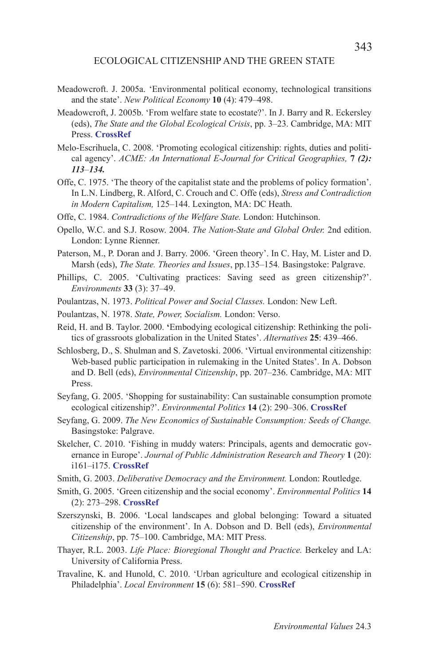- Meadowcroft. J. 2005a. 'Environmental political economy, technological transitions and the state'. *New Political Economy* **10** (4): 479–498.
- Meadowcroft, J. 2005b. 'From welfare state to ecostate?'. In J. Barry and R. Eckersley (eds), *The State and the Global Ecological Crisis*, pp. 3–23. Cambridge, MA: MIT Press. **[CrossRef](http://dx.doi.org/10.1080/13563460500344419)**
- Melo-Escrihuela, C. 2008. 'Promoting ecological citizenship: rights, duties and political agency'. *ACME: An International E-Journal for Critical Geographies, 7 (2): 113*–*134.*
- Offe, C. 1975. 'The theory of the capitalist state and the problems of policy formation'. In L.N. Lindberg, R. Alford, C. Crouch and C. Offe (eds), *Stress and Contradiction in Modern Capitalism,* 125–144. Lexington, MA: DC Heath.
- Offe, C. 1984. *Contradictions of the Welfare State.* London: Hutchinson.
- Opello, W.C. and S.J. Rosow. 2004. *The Nation-State and Global Order.* 2nd edition. London: Lynne Rienner.
- Paterson, M., P. Doran and J. Barry. 2006. 'Green theory'. In C. Hay, M. Lister and D. Marsh (eds), *The State. Theories and Issues*, pp.135–154*.* Basingstoke: Palgrave.
- Phillips, C. 2005. 'Cultivating practices: Saving seed as green citizenship?'. *Environments* **33** (3): 37–49.
- Poulantzas, N. 1973. *Political Power and Social Classes.* London: New Left.
- Poulantzas, N. 1978. *State, Power, Socialism.* London: Verso.
- Reid, H. and B. Taylor. 2000. **'**Embodying ecological citizenship: Rethinking the politics of grassroots globalization in the United States'. *Alternatives* **25**: 439–466.
- Schlosberg, D., S. Shulman and S. Zavetoski. 2006. 'Virtual environmental citizenship: Web-based public participation in rulemaking in the United States'. In A. Dobson and D. Bell (eds), *Environmental Citizenship*, pp. 207–236. Cambridge, MA: MIT Press.
- Seyfang, G. 2005. 'Shopping for sustainability: Can sustainable consumption promote ecological citizenship?'. *Environmental Politics* **14** (2): 290–306. **[CrossRef](http://dx.doi.org/10.1080/09644010500055209)**
- Seyfang, G. 2009. *The New Economics of Sustainable Consumption: Seeds of Change.* Basingstoke: Palgrave.
- Skelcher, C. 2010. 'Fishing in muddy waters: Principals, agents and democratic governance in Europe'. *Journal of Public Administration Research and Theory* **1** (20): i161–i175. **[CrossRef](http://dx.doi.org/10.1093/jopart/mup040)**
- Smith, G. 2003. *Deliberative Democracy and the Environment.* London: Routledge.
- Smith, G. 2005. 'Green citizenship and the social economy'. *Environmental Politics* **14** (2): 273–298. **[CrossRef](http://dx.doi.org/10.1080/09644010500055175)**
- Szerszynski, B. 2006. 'Local landscapes and global belonging: Toward a situated citizenship of the environment'. In A. Dobson and D. Bell (eds), *Environmental Citizenship*, pp. 75–100. Cambridge, MA: MIT Press.
- Thayer, R.L. 2003. *Life Place: Bioregional Thought and Practice.* Berkeley and LA: University of California Press.
- Travaline, K. and Hunold, C. 2010. 'Urban agriculture and ecological citizenship in Philadelphia'. *Local Environment* **15** (6): 581–590. **[CrossRef](http://dx.doi.org/10.1080/13549839.2010.487529)**